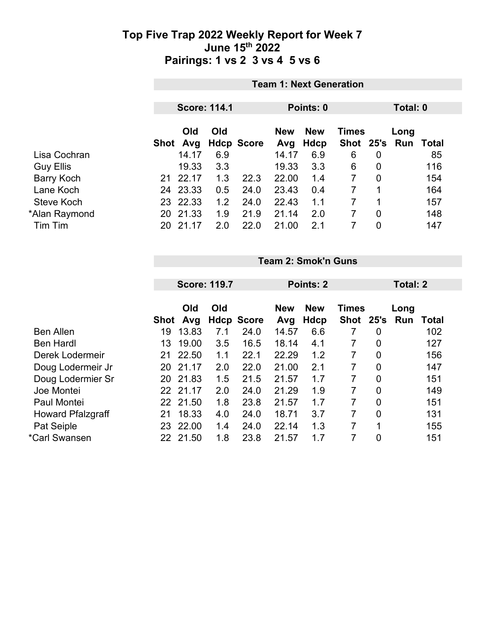|                   |          | <b>Team 1: Next Generation</b> |                     |                   |                   |                    |                               |                |      |       |
|-------------------|----------|--------------------------------|---------------------|-------------------|-------------------|--------------------|-------------------------------|----------------|------|-------|
|                   |          |                                | <b>Score: 114.1</b> |                   |                   | Points: 0          |                               | Total: 0       |      |       |
|                   | Shot Avg | Old                            | Old                 | <b>Hdcp Score</b> | <b>New</b><br>Avg | <b>New</b><br>Hdcp | <b>Times</b><br>Shot 25's Run |                | Long | Total |
| Lisa Cochran      |          | 14.17                          | 6.9                 |                   | 14.17             | 6.9                | 6                             | 0              |      | 85    |
| <b>Guy Ellis</b>  |          | 19.33                          | 3.3                 |                   | 19.33             | 3.3                | 6                             | $\overline{0}$ |      | 116   |
| <b>Barry Koch</b> | 21       | 22.17                          | 1.3                 | 22.3              | 22.00             | 1.4                | $\overline{7}$                | $\overline{0}$ |      | 154   |
| Lane Koch         |          | 24 23.33                       | 0.5                 | 24.0              | 23.43             | 0.4                | 7                             |                |      | 164   |
| Steve Koch        | 23       | 22.33                          | 1.2                 | 24.0              | 22.43             | 1.1                | 7                             | 1              |      | 157   |
| *Alan Raymond     |          | 20 21.33                       | 1.9                 | 21.9              | 21.14             | 2.0                | 7                             | $\overline{0}$ |      | 148   |
| Tim Tim           | 20       | 21.17                          | 2.0                 | 22.0              | 21.00             | 2.1                |                               | 0              |      | 147   |

**Team 2: Smok'n Guns**

| <b>Score: 119.7</b> |       |                               | Points: 2                                |                   |      |             | Total: 2       |      |              |
|---------------------|-------|-------------------------------|------------------------------------------|-------------------|------|-------------|----------------|------|--------------|
| Old<br>Old          |       |                               | <b>New</b><br><b>New</b><br><b>Times</b> |                   |      | Long        |                |      |              |
|                     | Avg   |                               |                                          | Avg               | Hdcp | <b>Shot</b> |                | Run  | <b>Total</b> |
| 19                  | 13.83 | 7.1                           | 24.0                                     | 14.57             | 6.6  | 7           | $\overline{0}$ |      | 102          |
| 13                  | 19.00 | 3.5                           | 16.5                                     | 18.14             | 4.1  |             | $\overline{0}$ |      | 127          |
| 21                  | 22.50 | 1.1                           | 22.1                                     | 22.29             | 1.2  | 7           | $\overline{0}$ |      | 156          |
| 20                  | 21.17 | 2.0                           | 22.0                                     | 21.00             | 2.1  | 7           | $\overline{0}$ |      | 147          |
| 20                  | 21.83 | 1.5                           | 21.5                                     | 21.57             | 1.7  | 7           | $\overline{0}$ |      | 151          |
| 22                  |       | 2.0                           | 24.0                                     | 21.29             | 1.9  | 7           | $\overline{0}$ |      | 149          |
| 22                  |       | 1.8                           | 23.8                                     | 21.57             | 1.7  | 7           | $\overline{0}$ |      | 151          |
| 21                  | 18.33 | 4.0                           | 24.0                                     | 18.71             | 3.7  | 7           | $\overline{0}$ |      | 131          |
| 23                  | 22.00 | 1.4                           | 24.0                                     | 22.14             | 1.3  | 7           | 1              |      | 155          |
| 22                  | 21.50 | 1.8                           | 23.8                                     | 21.57             | 1.7  | 7           | $\overline{0}$ |      | 151          |
|                     |       | <b>Shot</b><br>21.17<br>21.50 |                                          | <b>Hdcp Score</b> |      |             |                | 25's |              |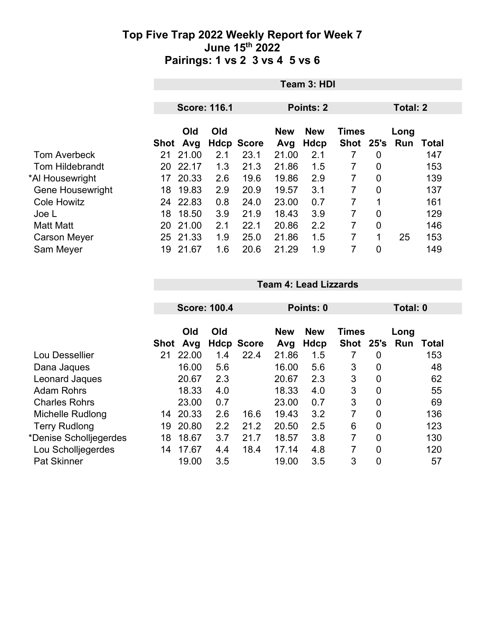|                         | Team 3: HDI |                     |     |                   |                            |      |             |                |    |                  |
|-------------------------|-------------|---------------------|-----|-------------------|----------------------------|------|-------------|----------------|----|------------------|
|                         |             |                     |     |                   |                            |      |             |                |    |                  |
|                         |             | <b>Score: 116.1</b> |     |                   | <b>Points: 2</b>           |      |             | Total: 2       |    |                  |
|                         | Old<br>Old  |                     |     | <b>New</b>        | <b>New</b><br><b>Times</b> |      |             | Long           |    |                  |
|                         |             | Shot Avg            |     | <b>Hdcp Score</b> | Avg                        | Hdcp | <b>Shot</b> | 25's           |    | <b>Run Total</b> |
| <b>Tom Averbeck</b>     | 21          | 21.00               | 2.1 | 23.1              | 21.00                      | 2.1  | 7           | $\mathbf 0$    |    | 147              |
| <b>Tom Hildebrandt</b>  | 20          | 22.17               | 1.3 | 21.3              | 21.86                      | 1.5  | 7           | $\overline{0}$ |    | 153              |
| *Al Housewright         | 17          | 20.33               | 2.6 | 19.6              | 19.86                      | 2.9  | 7           | $\overline{0}$ |    | 139              |
| <b>Gene Housewright</b> | 18          | 19.83               | 2.9 | 20.9              | 19.57                      | 3.1  | 7           | $\overline{0}$ |    | 137              |
| <b>Cole Howitz</b>      |             | 24 22.83            | 0.8 | 24.0              | 23.00                      | 0.7  | 7           | 1              |    | 161              |
| Joe L                   | 18          | 18.50               | 3.9 | 21.9              | 18.43                      | 3.9  | 7           | $\overline{0}$ |    | 129              |
| <b>Matt Matt</b>        | 20          | 21.00               | 2.1 | 22.1              | 20.86                      | 2.2  | 7           | $\overline{0}$ |    | 146              |
| <b>Carson Meyer</b>     | 25          | 21.33               | 1.9 | 25.0              | 21.86                      | 1.5  | 7           | 1              | 25 | 153              |
| Sam Meyer               | 19          | 21.67               | 1.6 | 20.6              | 21.29                      | 1.9  | 7           | 0              |    | 149              |

**Team 4: Lead Lizzards**

|                        |      | <b>Score: 100.4</b> |     |                   |                   | Points: 0                 |                             |      | Total: 0    |              |
|------------------------|------|---------------------|-----|-------------------|-------------------|---------------------------|-----------------------------|------|-------------|--------------|
|                        | Shot | Old<br>Avg          | Old | <b>Hdcp Score</b> | <b>New</b><br>Avg | <b>New</b><br><b>Hdcp</b> | <b>Times</b><br><b>Shot</b> | 25's | Long<br>Run | <b>Total</b> |
| Lou Dessellier         | 21   | 22.00               | 1.4 | 22.4              | 21.86             | 1.5                       |                             | 0    |             | 153          |
| Dana Jaques            |      | 16.00               | 5.6 |                   | 16.00             | 5.6                       | 3                           | 0    |             | 48           |
| Leonard Jaques         |      | 20.67               | 2.3 |                   | 20.67             | 2.3                       | 3                           | 0    |             | 62           |
| <b>Adam Rohrs</b>      |      | 18.33               | 4.0 |                   | 18.33             | 4.0                       | 3                           | 0    |             | 55           |
| <b>Charles Rohrs</b>   |      | 23.00               | 0.7 |                   | 23.00             | 0.7                       | 3                           | 0    |             | 69           |
| Michelle Rudlong       | 14   | 20.33               | 2.6 | 16.6              | 19.43             | 3.2                       | 7                           | 0    |             | 136          |
| <b>Terry Rudlong</b>   | 19   | 20.80               | 2.2 | 21.2              | 20.50             | 2.5                       | 6                           | 0    |             | 123          |
| *Denise Scholljegerdes | 18   | 18.67               | 3.7 | 21.7              | 18.57             | 3.8                       | 7                           | 0    |             | 130          |
| Lou Scholljegerdes     | 14   | 17.67               | 4.4 | 18.4              | 17.14             | 4.8                       | 7                           | 0    |             | 120          |
| <b>Pat Skinner</b>     |      | 19.00               | 3.5 |                   | 19.00             | 3.5                       | 3                           | 0    |             | 57           |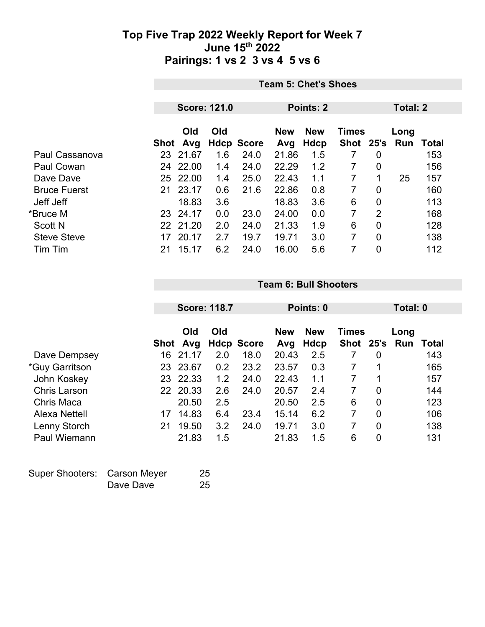|                     | <b>Team 5: Chet's Shoes</b> |       |     |                   |            |             |              |                |      |       |
|---------------------|-----------------------------|-------|-----|-------------------|------------|-------------|--------------|----------------|------|-------|
|                     |                             |       |     |                   |            |             |              |                |      |       |
|                     | <b>Score: 121.0</b>         |       |     | <b>Points: 2</b>  |            |             |              | Total: 2       |      |       |
|                     |                             | Old   | Old |                   | <b>New</b> | <b>New</b>  | <b>Times</b> |                | Long |       |
|                     | Shot                        | Avg   |     | <b>Hdcp Score</b> | Avg        | <b>Hdcp</b> | <b>Shot</b>  | 25's           | Run  | Total |
| Paul Cassanova      | 23                          | 21.67 | 1.6 | 24.0              | 21.86      | 1.5         |              | 0              |      | 153   |
| Paul Cowan          | 24                          | 22.00 | 1.4 | 24.0              | 22.29      | 1.2         | 7            | 0              |      | 156   |
| Dave Dave           | 25                          | 22.00 | 1.4 | 25.0              | 22.43      | 1.1         | 7            | 1              | 25   | 157   |
| <b>Bruce Fuerst</b> | 21                          | 23.17 | 0.6 | 21.6              | 22.86      | 0.8         | 7            | 0              |      | 160   |
| Jeff Jeff           |                             | 18.83 | 3.6 |                   | 18.83      | 3.6         | 6            | $\overline{0}$ |      | 113   |
| *Bruce M            | 23                          | 24.17 | 0.0 | 23.0              | 24.00      | 0.0         | 7            | $\overline{2}$ |      | 168   |
| <b>Scott N</b>      | 22                          | 21.20 | 2.0 | 24.0              | 21.33      | 1.9         | 6            | 0              |      | 128   |
| <b>Steve Steve</b>  | 17                          | 20.17 | 2.7 | 19.7              | 19.71      | 3.0         | 7            | $\overline{0}$ |      | 138   |
| Tim Tim             | 21                          | 15.17 | 6.2 | 24.0              | 16.00      | 5.6         | 7            | 0              |      | 112   |

|                      |      | <b>Score: 118.7</b> |     |                   | Points: 0         |                    |                             |                | Total: 0    |       |  |
|----------------------|------|---------------------|-----|-------------------|-------------------|--------------------|-----------------------------|----------------|-------------|-------|--|
|                      | Shot | Old<br>Avg          | Old | <b>Hdcp Score</b> | <b>New</b><br>Avg | <b>New</b><br>Hdcp | <b>Times</b><br><b>Shot</b> | 25's           | Long<br>Run | Total |  |
| Dave Dempsey         | 16   | 21.17               | 2.0 | 18.0              | 20.43             | 2.5                |                             | $\overline{0}$ |             | 143   |  |
| *Guy Garritson       | 23   | 23.67               | 0.2 | 23.2              | 23.57             | 0.3                | 7                           | 1              |             | 165   |  |
| John Koskey          | 23   | 22.33               | 1.2 | 24.0              | 22.43             | 1.1                | 7                           | 1              |             | 157   |  |
| <b>Chris Larson</b>  |      | 22 20.33            | 2.6 | 24.0              | 20.57             | 2.4                | 7                           | $\overline{0}$ |             | 144   |  |
| <b>Chris Maca</b>    |      | 20.50               | 2.5 |                   | 20.50             | 2.5                | 6                           | $\overline{0}$ |             | 123   |  |
| <b>Alexa Nettell</b> | 17   | 14.83               | 6.4 | 23.4              | 15.14             | 6.2                | $\overline{7}$              | $\overline{0}$ |             | 106   |  |
| Lenny Storch         | 21   | 19.50               | 3.2 | 24.0              | 19.71             | 3.0                | 7                           | $\overline{0}$ |             | 138   |  |
| Paul Wiemann         |      | 21.83               | 1.5 |                   | 21.83             | 1.5                | 6                           | $\overline{0}$ |             | 131   |  |

**Team 6: Bull Shooters**

| Super Shooters: Carson Meyer |           | 25 |
|------------------------------|-----------|----|
|                              | Dave Dave | 25 |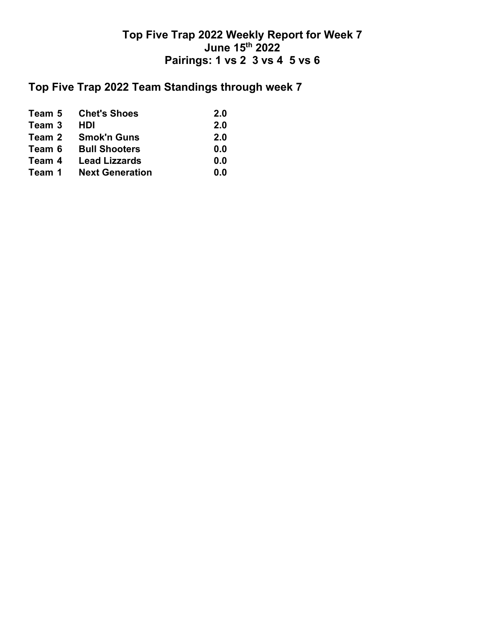## **Top Five Trap 2022 Team Standings through week 7**

|        | <b>Team 5 Chet's Shoes</b>    | 2.0 |
|--------|-------------------------------|-----|
| Team 3 | <b>HDI</b>                    | 2.0 |
|        | Team 2 Smok'n Guns            | 2.0 |
|        | <b>Team 6 Bull Shooters</b>   | 0.0 |
| Team 4 | <b>Lead Lizzards</b>          | 0.0 |
|        | <b>Team 1 Next Generation</b> | 0.0 |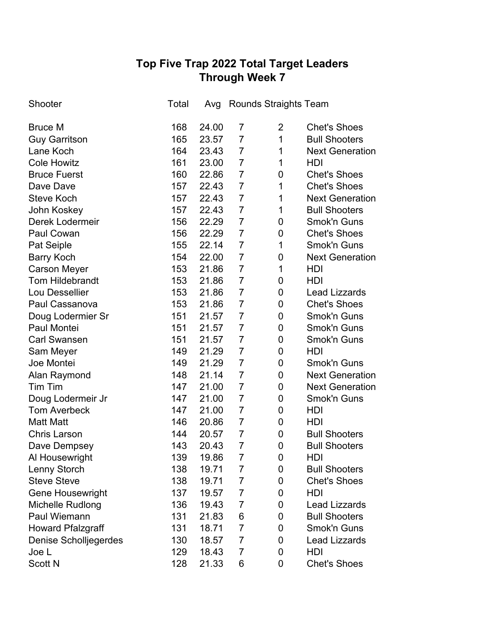# **Top Five Trap 2022 Total Target Leaders Through Week 7**

| Shooter                  | Total | Avg   |                | <b>Rounds Straights Team</b> |                        |
|--------------------------|-------|-------|----------------|------------------------------|------------------------|
| <b>Bruce M</b>           | 168   | 24.00 | 7              | $\overline{2}$               | <b>Chet's Shoes</b>    |
| <b>Guy Garritson</b>     | 165   | 23.57 | $\overline{7}$ | $\mathbf 1$                  | <b>Bull Shooters</b>   |
| Lane Koch                | 164   | 23.43 | $\overline{7}$ | 1                            | <b>Next Generation</b> |
| <b>Cole Howitz</b>       | 161   | 23.00 | $\overline{7}$ | $\mathbf 1$                  | HDI                    |
| <b>Bruce Fuerst</b>      | 160   | 22.86 | $\overline{7}$ | 0                            | <b>Chet's Shoes</b>    |
| Dave Dave                | 157   | 22.43 | $\overline{7}$ | 1                            | <b>Chet's Shoes</b>    |
| <b>Steve Koch</b>        | 157   | 22.43 | $\overline{7}$ | 1                            | <b>Next Generation</b> |
| John Koskey              | 157   | 22.43 | $\overline{7}$ | 1                            | <b>Bull Shooters</b>   |
| Derek Lodermeir          | 156   | 22.29 | $\overline{7}$ | 0                            | <b>Smok'n Guns</b>     |
| Paul Cowan               | 156   | 22.29 | $\overline{7}$ | $\mathbf 0$                  | <b>Chet's Shoes</b>    |
| Pat Seiple               | 155   | 22.14 | $\overline{7}$ | $\mathbf 1$                  | <b>Smok'n Guns</b>     |
| <b>Barry Koch</b>        | 154   | 22.00 | $\overline{7}$ | 0                            | <b>Next Generation</b> |
| <b>Carson Meyer</b>      | 153   | 21.86 | $\overline{7}$ | 1                            | HDI                    |
| <b>Tom Hildebrandt</b>   | 153   | 21.86 | $\overline{7}$ | 0                            | <b>HDI</b>             |
| Lou Dessellier           | 153   | 21.86 | $\overline{7}$ | 0                            | <b>Lead Lizzards</b>   |
| Paul Cassanova           | 153   | 21.86 | $\overline{7}$ | 0                            | <b>Chet's Shoes</b>    |
| Doug Lodermier Sr        | 151   | 21.57 | $\overline{7}$ | 0                            | <b>Smok'n Guns</b>     |
| Paul Montei              | 151   | 21.57 | $\overline{7}$ | 0                            | Smok'n Guns            |
| <b>Carl Swansen</b>      | 151   | 21.57 | $\overline{7}$ | 0                            | Smok'n Guns            |
| Sam Meyer                | 149   | 21.29 | $\overline{7}$ | 0                            | <b>HDI</b>             |
| Joe Montei               | 149   | 21.29 | $\overline{7}$ | 0                            | <b>Smok'n Guns</b>     |
| Alan Raymond             | 148   | 21.14 | $\overline{7}$ | 0                            | <b>Next Generation</b> |
| Tim Tim                  | 147   | 21.00 | $\overline{7}$ | 0                            | <b>Next Generation</b> |
| Doug Lodermeir Jr        | 147   | 21.00 | $\overline{7}$ | 0                            | Smok'n Guns            |
| <b>Tom Averbeck</b>      | 147   | 21.00 | $\overline{7}$ | 0                            | HDI                    |
| <b>Matt Matt</b>         | 146   | 20.86 | $\overline{7}$ | 0                            | HDI                    |
| <b>Chris Larson</b>      | 144   | 20.57 | $\overline{7}$ | 0                            | <b>Bull Shooters</b>   |
| Dave Dempsey             | 143   | 20.43 | $\overline{7}$ | 0                            | <b>Bull Shooters</b>   |
| Al Housewright           | 139   | 19.86 | $\overline{7}$ | 0                            | <b>HDI</b>             |
| Lenny Storch             | 138   | 19.71 | $\overline{7}$ | 0                            | <b>Bull Shooters</b>   |
| <b>Steve Steve</b>       | 138   | 19.71 | $\overline{7}$ | 0                            | <b>Chet's Shoes</b>    |
| <b>Gene Housewright</b>  | 137   | 19.57 | $\overline{7}$ | 0                            | HDI                    |
| Michelle Rudlong         | 136   | 19.43 | $\overline{7}$ | 0                            | <b>Lead Lizzards</b>   |
| Paul Wiemann             | 131   | 21.83 | 6              | 0                            | <b>Bull Shooters</b>   |
| <b>Howard Pfalzgraff</b> | 131   | 18.71 | $\overline{7}$ | 0                            | Smok'n Guns            |
| Denise Scholljegerdes    | 130   | 18.57 | $\overline{7}$ | 0                            | <b>Lead Lizzards</b>   |
| Joe L                    | 129   | 18.43 | $\overline{7}$ | 0                            | HDI                    |
| Scott N                  | 128   | 21.33 | 6              | 0                            | <b>Chet's Shoes</b>    |